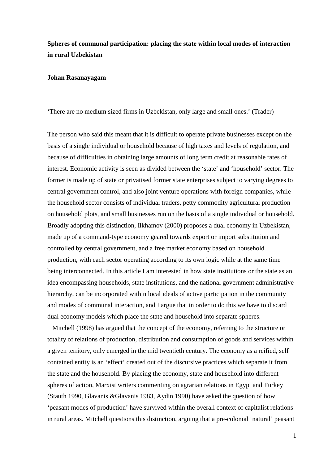# **Spheres of communal participation: placing the state within local modes of interaction in rural Uzbekistan**

## **Johan Rasanayagam**

'There are no medium sized firms in Uzbekistan, only large and small ones.' (Trader)

The person who said this meant that it is difficult to operate private businesses except on the basis of a single individual or household because of high taxes and levels of regulation, and because of difficulties in obtaining large amounts of long term credit at reasonable rates of interest. Economic activity is seen as divided between the 'state' and 'household' sector. The former is made up of state or privatised former state enterprises subject to varying degrees to central government control, and also joint venture operations with foreign companies, while the household sector consists of individual traders, petty commodity agricultural production on household plots, and small businesses run on the basis of a single individual or household. Broadly adopting this distinction, Ilkhamov (2000) proposes a dual economy in Uzbekistan, made up of a command-type economy geared towards export or import substitution and controlled by central government, and a free market economy based on household production, with each sector operating according to its own logic while at the same time being interconnected. In this article I am interested in how state institutions or the state as an idea encompassing households, state institutions, and the national government administrative hierarchy, can be incorporated within local ideals of active participation in the community and modes of communal interaction, and I argue that in order to do this we have to discard dual economy models which place the state and household into separate spheres.

 Mitchell (1998) has argued that the concept of the economy, referring to the structure or totality of relations of production, distribution and consumption of goods and services within a given territory, only emerged in the mid twentieth century. The economy as a reified, self contained entity is an 'effect' created out of the discursive practices which separate it from the state and the household. By placing the economy, state and household into different spheres of action, Marxist writers commenting on agrarian relations in Egypt and Turkey (Stauth 1990, Glavanis &Glavanis 1983, Aydin 1990) have asked the question of how 'peasant modes of production' have survived within the overall context of capitalist relations in rural areas. Mitchell questions this distinction, arguing that a pre-colonial 'natural' peasant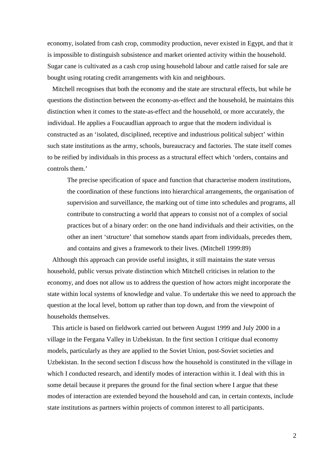economy, isolated from cash crop, commodity production, never existed in Egypt, and that it is impossible to distinguish subsistence and market oriented activity within the household. Sugar cane is cultivated as a cash crop using household labour and cattle raised for sale are bought using rotating credit arrangements with kin and neighbours.

 Mitchell recognises that both the economy and the state are structural effects, but while he questions the distinction between the economy-as-effect and the household, he maintains this distinction when it comes to the state-as-effect and the household, or more accurately, the individual. He applies a Foucaudlian approach to argue that the modern individual is constructed as an 'isolated, disciplined, receptive and industrious political subject' within such state institutions as the army, schools, bureaucracy and factories. The state itself comes to be reified by individuals in this process as a structural effect which 'orders, contains and controls them.'

The precise specification of space and function that characterise modern institutions, the coordination of these functions into hierarchical arrangements, the organisation of supervision and surveillance, the marking out of time into schedules and programs, all contribute to constructing a world that appears to consist not of a complex of social practices but of a binary order: on the one hand individuals and their activities, on the other an inert 'structure' that somehow stands apart from individuals, precedes them, and contains and gives a framework to their lives. (Mitchell 1999:89)

 Although this approach can provide useful insights, it still maintains the state versus household, public versus private distinction which Mitchell criticises in relation to the economy, and does not allow us to address the question of how actors might incorporate the state within local systems of knowledge and value. To undertake this we need to approach the question at the local level, bottom up rather than top down, and from the viewpoint of households themselves.

 This article is based on fieldwork carried out between August 1999 and July 2000 in a village in the Fergana Valley in Uzbekistan. In the first section I critique dual economy models, particularly as they are applied to the Soviet Union, post-Soviet societies and Uzbekistan. In the second section I discuss how the household is constituted in the village in which I conducted research, and identify modes of interaction within it. I deal with this in some detail because it prepares the ground for the final section where I argue that these modes of interaction are extended beyond the household and can, in certain contexts, include state institutions as partners within projects of common interest to all participants.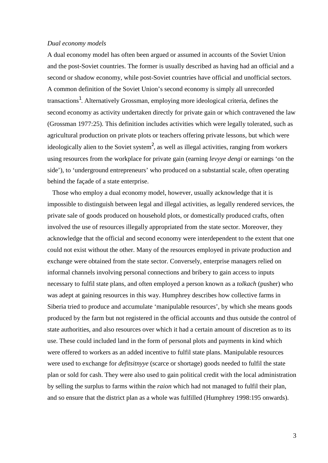## *Dual economy models*

A dual economy model has often been argued or assumed in accounts of the Soviet Union and the post-Soviet countries. The former is usually described as having had an official and a second or shadow economy, while post-Soviet countries have official and unofficial sectors. A common definition of the Soviet Union's second economy is simply all unrecorded transactions<sup>1</sup>. Alternatively Grossman, employing more ideological criteria, defines the second economy as activity undertaken directly for private gain or which contravened the law (Grossman 1977:25). This definition includes activities which were legally tolerated, such as agricultural production on private plots or teachers offering private lessons, but which were ideologically alien to the Soviet system<sup>2</sup>, as well as illegal activities, ranging from workers using resources from the workplace for private gain (earning *levyye dengi* or earnings 'on the side'), to 'underground entrepreneurs' who produced on a substantial scale, often operating behind the façade of a state enterprise.

 Those who employ a dual economy model, however, usually acknowledge that it is impossible to distinguish between legal and illegal activities, as legally rendered services, the private sale of goods produced on household plots, or domestically produced crafts, often involved the use of resources illegally appropriated from the state sector. Moreover, they acknowledge that the official and second economy were interdependent to the extent that one could not exist without the other. Many of the resources employed in private production and exchange were obtained from the state sector. Conversely, enterprise managers relied on informal channels involving personal connections and bribery to gain access to inputs necessary to fulfil state plans, and often employed a person known as a *tolkach* (pusher) who was adept at gaining resources in this way. Humphrey describes how collective farms in Siberia tried to produce and accumulate 'manipulable resources', by which she means goods produced by the farm but not registered in the official accounts and thus outside the control of state authorities, and also resources over which it had a certain amount of discretion as to its use. These could included land in the form of personal plots and payments in kind which were offered to workers as an added incentive to fulfil state plans. Manipulable resources were used to exchange for *defitsitnyye* (scarce or shortage) goods needed to fulfil the state plan or sold for cash. They were also used to gain political credit with the local administration by selling the surplus to farms within the *raion* which had not managed to fulfil their plan, and so ensure that the district plan as a whole was fulfilled (Humphrey 1998:195 onwards).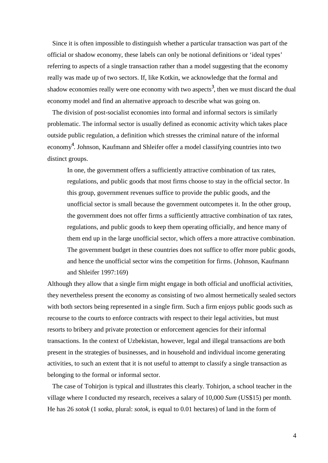Since it is often impossible to distinguish whether a particular transaction was part of the official or shadow economy, these labels can only be notional definitions or 'ideal types' referring to aspects of a single transaction rather than a model suggesting that the economy really was made up of two sectors. If, like Kotkin, we acknowledge that the formal and shadow economies really were one economy with two aspects<sup>3</sup>, then we must discard the dual economy model and find an alternative approach to describe what was going on.

 The division of post-socialist economies into formal and informal sectors is similarly problematic. The informal sector is usually defined as economic activity which takes place outside public regulation, a definition which stresses the criminal nature of the informal economy<sup>4</sup>. Johnson, Kaufmann and Shleifer offer a model classifying countries into two distinct groups.

In one, the government offers a sufficiently attractive combination of tax rates, regulations, and public goods that most firms choose to stay in the official sector. In this group, government revenues suffice to provide the public goods, and the unofficial sector is small because the government outcompetes it. In the other group, the government does not offer firms a sufficiently attractive combination of tax rates, regulations, and public goods to keep them operating officially, and hence many of them end up in the large unofficial sector, which offers a more attractive combination. The government budget in these countries does not suffice to offer more public goods, and hence the unofficial sector wins the competition for firms. (Johnson, Kaufmann and Shleifer 1997:169)

Although they allow that a single firm might engage in both official and unofficial activities, they nevertheless present the economy as consisting of two almost hermetically sealed sectors with both sectors being represented in a single firm. Such a firm enjoys public goods such as recourse to the courts to enforce contracts with respect to their legal activities, but must resorts to bribery and private protection or enforcement agencies for their informal transactions. In the context of Uzbekistan, however, legal and illegal transactions are both present in the strategies of businesses, and in household and individual income generating activities, to such an extent that it is not useful to attempt to classify a single transaction as belonging to the formal or informal sector.

 The case of Tohirjon is typical and illustrates this clearly. Tohirjon, a school teacher in the village where I conducted my research, receives a salary of 10,000 *Sum* (US\$15) per month. He has 26 *sotok* (1 *sotka*, plural: *sotok*, is equal to 0.01 hectares) of land in the form of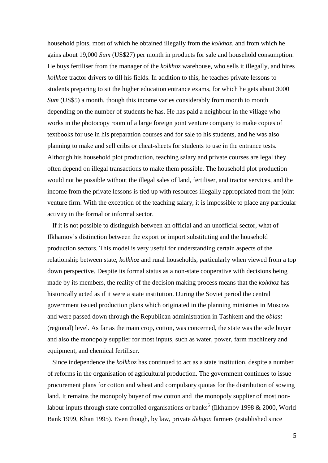household plots, most of which he obtained illegally from the *kolkhoz,* and from which he gains about 19,000 *Sum* (US\$27) per month in products for sale and household consumption. He buys fertiliser from the manager of the *kolkhoz* warehouse, who sells it illegally, and hires *kolkhoz* tractor drivers to till his fields. In addition to this, he teaches private lessons to students preparing to sit the higher education entrance exams, for which he gets about 3000 *Sum* (US\$5) a month, though this income varies considerably from month to month depending on the number of students he has. He has paid a neighbour in the village who works in the photocopy room of a large foreign joint venture company to make copies of textbooks for use in his preparation courses and for sale to his students, and he was also planning to make and sell cribs or cheat-sheets for students to use in the entrance tests. Although his household plot production, teaching salary and private courses are legal they often depend on illegal transactions to make them possible. The household plot production would not be possible without the illegal sales of land, fertiliser, and tractor services, and the income from the private lessons is tied up with resources illegally appropriated from the joint venture firm. With the exception of the teaching salary, it is impossible to place any particular activity in the formal or informal sector.

 If it is not possible to distinguish between an official and an unofficial sector, what of Ilkhamov's distinction between the export or import substituting and the household production sectors. This model is very useful for understanding certain aspects of the relationship between state, *kolkhoz* and rural households, particularly when viewed from a top down perspective. Despite its formal status as a non-state cooperative with decisions being made by its members, the reality of the decision making process means that the *kolkhoz* has historically acted as if it were a state institution. During the Soviet period the central government issued production plans which originated in the planning ministries in Moscow and were passed down through the Republican administration in Tashkent and the *oblast* (regional) level. As far as the main crop, cotton, was concerned, the state was the sole buyer and also the monopoly supplier for most inputs, such as water, power, farm machinery and equipment, and chemical fertiliser.

 Since independence the *kolkhoz* has continued to act as a state institution, despite a number of reforms in the organisation of agricultural production. The government continues to issue procurement plans for cotton and wheat and compulsory quotas for the distribution of sowing land. It remains the monopoly buyer of raw cotton and the monopoly supplier of most nonlabour inputs through state controlled organisations or banks<sup>5</sup> (Ilkhamov 1998 & 2000, World Bank 1999, Khan 1995). Even though, by law, private *dehqon* farmers (established since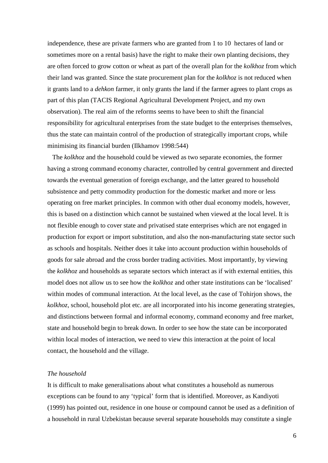independence, these are private farmers who are granted from 1 to 10 hectares of land or sometimes more on a rental basis) have the right to make their own planting decisions, they are often forced to grow cotton or wheat as part of the overall plan for the *kolkhoz* from which their land was granted. Since the state procurement plan for the *kolkhoz* is not reduced when it grants land to a *dehkon* farmer, it only grants the land if the farmer agrees to plant crops as part of this plan (TACIS Regional Agricultural Development Project, and my own observation). The real aim of the reforms seems to have been to shift the financial responsibility for agricultural enterprises from the state budget to the enterprises themselves, thus the state can maintain control of the production of strategically important crops, while minimising its financial burden (Ilkhamov 1998:544)

 The *kolkhoz* and the household could be viewed as two separate economies, the former having a strong command economy character, controlled by central government and directed towards the eventual generation of foreign exchange, and the latter geared to household subsistence and petty commodity production for the domestic market and more or less operating on free market principles. In common with other dual economy models, however, this is based on a distinction which cannot be sustained when viewed at the local level. It is not flexible enough to cover state and privatised state enterprises which are not engaged in production for export or import substitution, and also the non-manufacturing state sector such as schools and hospitals. Neither does it take into account production within households of goods for sale abroad and the cross border trading activities. Most importantly, by viewing the *kolkhoz* and households as separate sectors which interact as if with external entities, this model does not allow us to see how the *kolkhoz* and other state institutions can be 'localised' within modes of communal interaction. At the local level, as the case of Tohirjon shows, the *kolkhoz*, school, household plot etc. are all incorporated into his income generating strategies, and distinctions between formal and informal economy, command economy and free market, state and household begin to break down. In order to see how the state can be incorporated within local modes of interaction, we need to view this interaction at the point of local contact, the household and the village.

## *The household*

It is difficult to make generalisations about what constitutes a household as numerous exceptions can be found to any 'typical' form that is identified. Moreover, as Kandiyoti (1999) has pointed out, residence in one house or compound cannot be used as a definition of a household in rural Uzbekistan because several separate households may constitute a single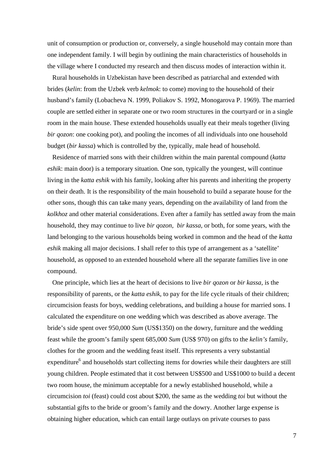unit of consumption or production or, conversely, a single household may contain more than one independent family. I will begin by outlining the main characteristics of households in the village where I conducted my research and then discuss modes of interaction within it.

 Rural households in Uzbekistan have been described as patriarchal and extended with brides (*kelin*: from the Uzbek verb *kelmok*: to come) moving to the household of their husband's family (Lobacheva N. 1999, Poliakov S. 1992, Monogarova P. 1969). The married couple are settled either in separate one or two room structures in the courtyard or in a single room in the main house. These extended households usually eat their meals together (living *bir qozon*: one cooking pot), and pooling the incomes of all individuals into one household budget (*bir kassa*) which is controlled by the, typically, male head of household.

 Residence of married sons with their children within the main parental compound (*katta eshik*: main door) is a temporary situation. One son, typically the youngest, will continue living in the *katta eshik* with his family, looking after his parents and inheriting the property on their death. It is the responsibility of the main household to build a separate house for the other sons, though this can take many years, depending on the availability of land from the *kolkhoz* and other material considerations. Even after a family has settled away from the main household, they may continue to live *bir qozon*, *bir kassa*, or both, for some years, with the land belonging to the various households being worked in common and the head of the *katta eshik* making all major decisions. I shall refer to this type of arrangement as a 'satellite' household, as opposed to an extended household where all the separate families live in one compound.

 One principle, which lies at the heart of decisions to live *bir qozon* or *bir kassa*, is the responsibility of parents, or the *katta eshik*, to pay for the life cycle rituals of their children; circumcision feasts for boys, wedding celebrations, and building a house for married sons. I calculated the expenditure on one wedding which was described as above average. The bride's side spent over 950,000 *Sum* (US\$1350) on the dowry, furniture and the wedding feast while the groom's family spent 685,000 *Sum* (US\$ 970) on gifts to the *kelin's* family, clothes for the groom and the wedding feast itself. This represents a very substantial expenditure<sup>6</sup> and households start collecting items for dowries while their daughters are still young children. People estimated that it cost between US\$500 and US\$1000 to build a decent two room house, the minimum acceptable for a newly established household, while a circumcision *toi* (feast) could cost about \$200, the same as the wedding *toi* but without the substantial gifts to the bride or groom's family and the dowry. Another large expense is obtaining higher education, which can entail large outlays on private courses to pass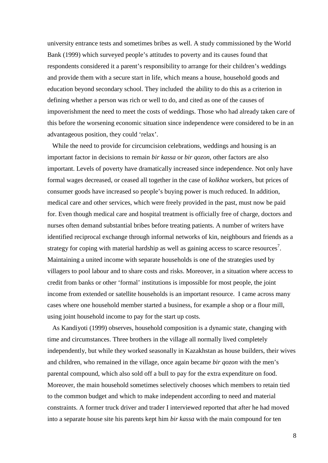university entrance tests and sometimes bribes as well. A study commissioned by the World Bank (1999) which surveyed people's attitudes to poverty and its causes found that respondents considered it a parent's responsibility to arrange for their children's weddings and provide them with a secure start in life, which means a house, household goods and education beyond secondary school. They included the ability to do this as a criterion in defining whether a person was rich or well to do, and cited as one of the causes of impoverishment the need to meet the costs of weddings. Those who had already taken care of this before the worsening economic situation since independence were considered to be in an advantageous position, they could 'relax'.

 While the need to provide for circumcision celebrations, weddings and housing is an important factor in decisions to remain *bir kassa* or *bir qozon*, other factors are also important. Levels of poverty have dramatically increased since independence. Not only have formal wages decreased, or ceased all together in the case of *kolkhoz* workers, but prices of consumer goods have increased so people's buying power is much reduced. In addition, medical care and other services, which were freely provided in the past, must now be paid for. Even though medical care and hospital treatment is officially free of charge, doctors and nurses often demand substantial bribes before treating patients. A number of writers have identified reciprocal exchange through informal networks of kin, neighbours and friends as a strategy for coping with material hardship as well as gaining access to scarce resources<sup>7</sup>. Maintaining a united income with separate households is one of the strategies used by villagers to pool labour and to share costs and risks. Moreover, in a situation where access to credit from banks or other 'formal' institutions is impossible for most people, the joint income from extended or satellite households is an important resource. I came across many cases where one household member started a business, for example a shop or a flour mill, using joint household income to pay for the start up costs.

 As Kandiyoti (1999) observes, household composition is a dynamic state, changing with time and circumstances. Three brothers in the village all normally lived completely independently, but while they worked seasonally in Kazakhstan as house builders, their wives and children, who remained in the village, once again became *bir qozon* with the men's parental compound, which also sold off a bull to pay for the extra expenditure on food. Moreover, the main household sometimes selectively chooses which members to retain tied to the common budget and which to make independent according to need and material constraints. A former truck driver and trader I interviewed reported that after he had moved into a separate house site his parents kept him *bir kassa* with the main compound for ten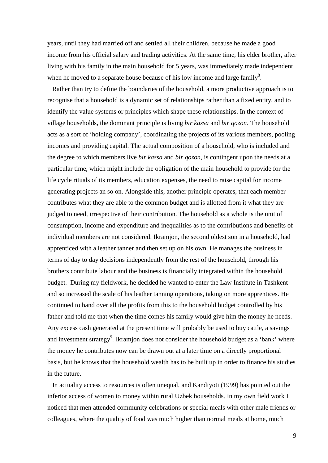years, until they had married off and settled all their children, because he made a good income from his official salary and trading activities. At the same time, his elder brother, after living with his family in the main household for 5 years, was immediately made independent when he moved to a separate house because of his low income and large family<sup>8</sup>.

 Rather than try to define the boundaries of the household, a more productive approach is to recognise that a household is a dynamic set of relationships rather than a fixed entity, and to identify the value systems or principles which shape these relationships. In the context of village households, the dominant principle is living *bir kassa* and *bir qozon*. The household acts as a sort of 'holding company', coordinating the projects of its various members, pooling incomes and providing capital. The actual composition of a household, who is included and the degree to which members live *bir kassa* and *bir qozon*, is contingent upon the needs at a particular time, which might include the obligation of the main household to provide for the life cycle rituals of its members, education expenses, the need to raise capital for income generating projects an so on. Alongside this, another principle operates, that each member contributes what they are able to the common budget and is allotted from it what they are judged to need, irrespective of their contribution. The household as a whole is the unit of consumption, income and expenditure and inequalities as to the contributions and benefits of individual members are not considered. Ikramjon, the second oldest son in a household, had apprenticed with a leather tanner and then set up on his own. He manages the business in terms of day to day decisions independently from the rest of the household, through his brothers contribute labour and the business is financially integrated within the household budget. During my fieldwork, he decided he wanted to enter the Law Institute in Tashkent and so increased the scale of his leather tanning operations, taking on more apprentices. He continued to hand over all the profits from this to the household budget controlled by his father and told me that when the time comes his family would give him the money he needs. Any excess cash generated at the present time will probably be used to buy cattle, a savings and investment strategy<sup>9</sup>. Ikramjon does not consider the household budget as a 'bank' where the money he contributes now can be drawn out at a later time on a directly proportional basis, but he knows that the household wealth has to be built up in order to finance his studies in the future.

 In actuality access to resources is often unequal, and Kandiyoti (1999) has pointed out the inferior access of women to money within rural Uzbek households. In my own field work I noticed that men attended community celebrations or special meals with other male friends or colleagues, where the quality of food was much higher than normal meals at home, much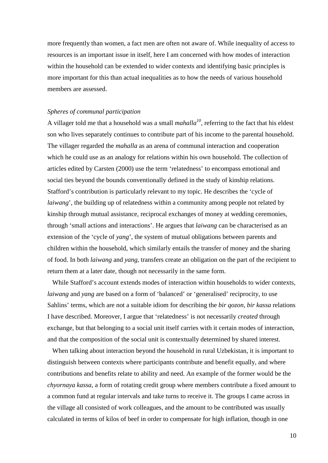more frequently than women, a fact men are often not aware of. While inequality of access to resources is an important issue in itself, here I am concerned with how modes of interaction within the household can be extended to wider contexts and identifying basic principles is more important for this than actual inequalities as to how the needs of various household members are assessed.

## *Spheres of communal participation*

A villager told me that a household was a small *mahalla<sup>10</sup>*, referring to the fact that his eldest son who lives separately continues to contribute part of his income to the parental household. The villager regarded the *mahalla* as an arena of communal interaction and cooperation which he could use as an analogy for relations within his own household. The collection of articles edited by Carsten (2000) use the term 'relatedness' to encompass emotional and social ties beyond the bounds conventionally defined in the study of kinship relations. Stafford's contribution is particularly relevant to my topic. He describes the 'cycle of *laiwang*', the building up of relatedness within a community among people not related by kinship through mutual assistance, reciprocal exchanges of money at wedding ceremonies, through 'small actions and interactions'. He argues that *laiwang* can be characterised as an extension of the 'cycle of *yang*', the system of mutual obligations between parents and children within the household, which similarly entails the transfer of money and the sharing of food. In both *laiwang* and *yang*, transfers create an obligation on the part of the recipient to return them at a later date, though not necessarily in the same form.

 While Stafford's account extends modes of interaction within households to wider contexts, *laiwang* and *yang* are based on a form of 'balanced' or 'generalised' reciprocity, to use Sahlins' terms, which are not a suitable idiom for describing the *bir qozon*, *bir kassa* relations I have described. Moreover, I argue that 'relatedness' is not necessarily *created* through exchange, but that belonging to a social unit itself carries with it certain modes of interaction, and that the composition of the social unit is contextually determined by shared interest.

 When talking about interaction beyond the household in rural Uzbekistan, it is important to distinguish between contexts where participants contribute and benefit equally, and where contributions and benefits relate to ability and need. An example of the former would be the *chyornaya kassa*, a form of rotating credit group where members contribute a fixed amount to a common fund at regular intervals and take turns to receive it. The groups I came across in the village all consisted of work colleagues, and the amount to be contributed was usually calculated in terms of kilos of beef in order to compensate for high inflation, though in one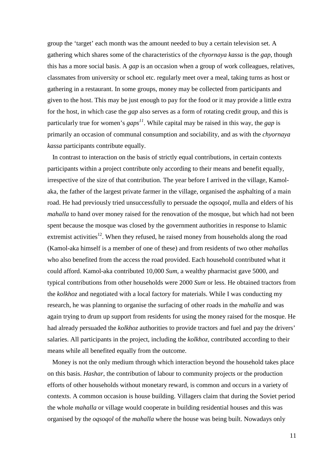group the 'target' each month was the amount needed to buy a certain television set. A gathering which shares some of the characteristics of the *chyornaya kassa* is the *gap*, though this has a more social basis. A *gap* is an occasion when a group of work colleagues, relatives, classmates from university or school etc. regularly meet over a meal, taking turns as host or gathering in a restaurant. In some groups, money may be collected from participants and given to the host. This may be just enough to pay for the food or it may provide a little extra for the host, in which case the *gap* also serves as a form of rotating credit group, and this is particularly true for women's *gaps <sup>11</sup>*. While capital may be raised in this way, the *gap* is primarily an occasion of communal consumption and sociability, and as with the *chyornaya kassa* participants contribute equally.

 In contrast to interaction on the basis of strictly equal contributions, in certain contexts participants within a project contribute only according to their means and benefit equally, irrespective of the size of that contribution. The year before I arrived in the village, Kamolaka, the father of the largest private farmer in the village, organised the asphalting of a main road. He had previously tried unsuccessfully to persuade the *oqsoqol*, mulla and elders of his *mahalla* to hand over money raised for the renovation of the mosque, but which had not been spent because the mosque was closed by the government authorities in response to Islamic extremist activities<sup>12</sup>. When they refused, he raised money from households along the road (Kamol-aka himself is a member of one of these) and from residents of two other *mahalla*s who also benefited from the access the road provided. Each household contributed what it could afford. Kamol-aka contributed 10,000 *Sum*, a wealthy pharmacist gave 5000, and typical contributions from other households were 2000 *Sum* or less. He obtained tractors from the *kolkhoz* and negotiated with a local factory for materials. While I was conducting my research, he was planning to organise the surfacing of other roads in the *mahalla* and was again trying to drum up support from residents for using the money raised for the mosque. He had already persuaded the *kolkhoz* authorities to provide tractors and fuel and pay the drivers' salaries. All participants in the project, including the *kolkhoz*, contributed according to their means while all benefited equally from the outcome.

 Money is not the only medium through which interaction beyond the household takes place on this basis. *Hashar*, the contribution of labour to community projects or the production efforts of other households without monetary reward, is common and occurs in a variety of contexts. A common occasion is house building. Villagers claim that during the Soviet period the whole *mahalla* or village would cooperate in building residential houses and this was organised by the *oqsoqol* of the *mahalla* where the house was being built. Nowadays only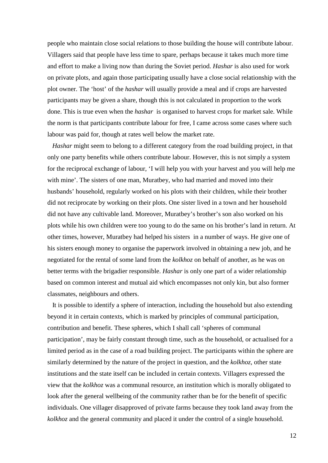people who maintain close social relations to those building the house will contribute labour. Villagers said that people have less time to spare, perhaps because it takes much more time and effort to make a living now than during the Soviet period. *Hashar* is also used for work on private plots, and again those participating usually have a close social relationship with the plot owner. The 'host' of the *hashar* will usually provide a meal and if crops are harvested participants may be given a share, though this is not calculated in proportion to the work done. This is true even when the *hashar* is organised to harvest crops for market sale. While the norm is that participants contribute labour for free, I came across some cases where such labour was paid for, though at rates well below the market rate.

 *Hashar* might seem to belong to a different category from the road building project, in that only one party benefits while others contribute labour. However, this is not simply a system for the reciprocal exchange of labour, 'I will help you with your harvest and you will help me with mine'. The sisters of one man, Muratbey, who had married and moved into their husbands' household, regularly worked on his plots with their children, while their brother did not reciprocate by working on their plots. One sister lived in a town and her household did not have any cultivable land. Moreover, Muratbey's brother's son also worked on his plots while his own children were too young to do the same on his brother's land in return. At other times, however, Muratbey had helped his sisters in a number of ways. He give one of his sisters enough money to organise the paperwork involved in obtaining a new job, and he negotiated for the rental of some land from the *kolkhoz* on behalf of another, as he was on better terms with the brigadier responsible. *Hashar* is only one part of a wider relationship based on common interest and mutual aid which encompasses not only kin, but also former classmates, neighbours and others.

 It is possible to identify a sphere of interaction, including the household but also extending beyond it in certain contexts, which is marked by principles of communal participation, contribution and benefit. These spheres, which I shall call 'spheres of communal participation', may be fairly constant through time, such as the household, or actualised for a limited period as in the case of a road building project. The participants within the sphere are similarly determined by the nature of the project in question, and the *kolkhoz*, other state institutions and the state itself can be included in certain contexts. Villagers expressed the view that the *kolkhoz* was a communal resource, an institution which is morally obligated to look after the general wellbeing of the community rather than be for the benefit of specific individuals. One villager disapproved of private farms because they took land away from the *kolkhoz* and the general community and placed it under the control of a single household.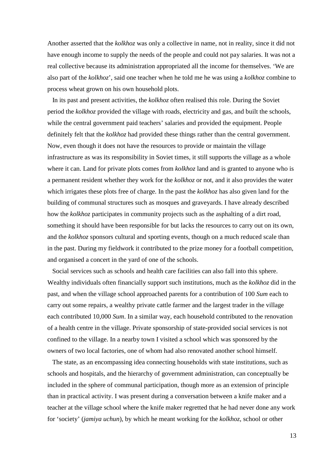Another asserted that the *kolkhoz* was only a collective in name, not in reality, since it did not have enough income to supply the needs of the people and could not pay salaries. It was not a real collective because its administration appropriated all the income for themselves. 'We are also part of the *kolkhoz*', said one teacher when he told me he was using a *kolkhoz* combine to process wheat grown on his own household plots.

 In its past and present activities, the *kolkhoz* often realised this role. During the Soviet period the *kolkhoz* provided the village with roads, electricity and gas, and built the schools, while the central government paid teachers' salaries and provided the equipment. People definitely felt that the *kolkhoz* had provided these things rather than the central government. Now, even though it does not have the resources to provide or maintain the village infrastructure as was its responsibility in Soviet times, it still supports the village as a whole where it can. Land for private plots comes from *kolkhoz* land and is granted to anyone who is a permanent resident whether they work for the *kolkhoz* or not, and it also provides the water which irrigates these plots free of charge. In the past the *kolkhoz* has also given land for the building of communal structures such as mosques and graveyards. I have already described how the *kolkhoz* participates in community projects such as the asphalting of a dirt road, something it should have been responsible for but lacks the resources to carry out on its own, and the *kolkhoz* sponsors cultural and sporting events, though on a much reduced scale than in the past. During my fieldwork it contributed to the prize money for a football competition, and organised a concert in the yard of one of the schools.

 Social services such as schools and health care facilities can also fall into this sphere. Wealthy individuals often financially support such institutions, much as the *kolkhoz* did in the past, and when the village school approached parents for a contribution of 100 *Sum* each to carry out some repairs, a wealthy private cattle farmer and the largest trader in the village each contributed 10,000 *Sum*. In a similar way, each household contributed to the renovation of a health centre in the village. Private sponsorship of state-provided social services is not confined to the village. In a nearby town I visited a school which was sponsored by the owners of two local factories, one of whom had also renovated another school himself.

 The state, as an encompassing idea connecting households with state institutions, such as schools and hospitals, and the hierarchy of government administration, can conceptually be included in the sphere of communal participation, though more as an extension of principle than in practical activity. I was present during a conversation between a knife maker and a teacher at the village school where the knife maker regretted that he had never done any work for 'society' (*jamiya uchun*), by which he meant working for the *kolkhoz*, school or other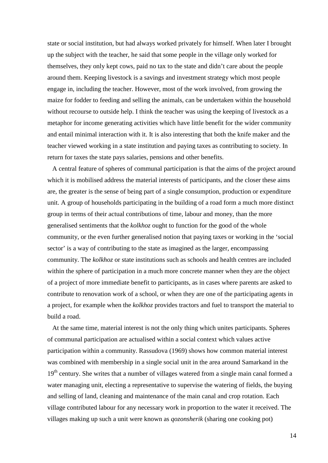state or social institution, but had always worked privately for himself. When later I brought up the subject with the teacher, he said that some people in the village only worked for themselves, they only kept cows, paid no tax to the state and didn't care about the people around them. Keeping livestock is a savings and investment strategy which most people engage in, including the teacher. However, most of the work involved, from growing the maize for fodder to feeding and selling the animals, can be undertaken within the household without recourse to outside help. I think the teacher was using the keeping of livestock as a metaphor for income generating activities which have little benefit for the wider community and entail minimal interaction with it. It is also interesting that both the knife maker and the teacher viewed working in a state institution and paying taxes as contributing to society. In return for taxes the state pays salaries, pensions and other benefits.

 A central feature of spheres of communal participation is that the aims of the project around which it is mobilised address the material interests of participants, and the closer these aims are, the greater is the sense of being part of a single consumption, production or expenditure unit. A group of households participating in the building of a road form a much more distinct group in terms of their actual contributions of time, labour and money, than the more generalised sentiments that the *kolkhoz* ought to function for the good of the whole community, or the even further generalised notion that paying taxes or working in the 'social sector' is a way of contributing to the state as imagined as the larger, encompassing community. The *kolkhoz* or state institutions such as schools and health centres are included within the sphere of participation in a much more concrete manner when they are the object of a project of more immediate benefit to participants, as in cases where parents are asked to contribute to renovation work of a school, or when they are one of the participating agents in a project, for example when the *kolkhoz* provides tractors and fuel to transport the material to build a road.

 At the same time, material interest is not the only thing which unites participants. Spheres of communal participation are actualised within a social context which values active participation within a community. Rassudova (1969) shows how common material interest was combined with membership in a single social unit in the area around Samarkand in the 19<sup>th</sup> century. She writes that a number of villages watered from a single main canal formed a water managing unit, electing a representative to supervise the watering of fields, the buying and selling of land, cleaning and maintenance of the main canal and crop rotation. Each village contributed labour for any necessary work in proportion to the water it received. The villages making up such a unit were known as *qozonsherik* (sharing one cooking pot)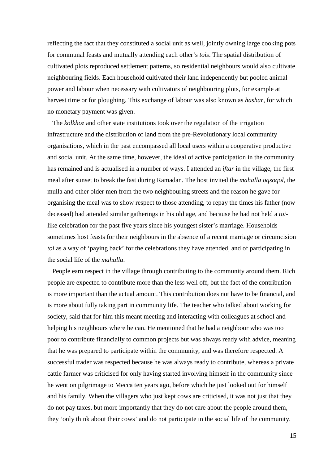reflecting the fact that they constituted a social unit as well, jointly owning large cooking pots for communal feasts and mutually attending each other's *tois*. The spatial distribution of cultivated plots reproduced settlement patterns, so residential neighbours would also cultivate neighbouring fields. Each household cultivated their land independently but pooled animal power and labour when necessary with cultivators of neighbouring plots, for example at harvest time or for ploughing. This exchange of labour was also known as *hashar*, for which no monetary payment was given.

 The *kolkhoz* and other state institutions took over the regulation of the irrigation infrastructure and the distribution of land from the pre-Revolutionary local community organisations, which in the past encompassed all local users within a cooperative productive and social unit. At the same time, however, the ideal of active participation in the community has remained and is actualised in a number of ways. I attended an *iftar* in the village, the first meal after sunset to break the fast during Ramadan. The host invited the *mahalla oqsoqol*, the mulla and other older men from the two neighbouring streets and the reason he gave for organising the meal was to show respect to those attending, to repay the times his father (now deceased) had attended similar gatherings in his old age, and because he had not held a *toi*like celebration for the past five years since his youngest sister's marriage. Households sometimes host feasts for their neighbours in the absence of a recent marriage or circumcision *toi* as a way of 'paying back' for the celebrations they have attended, and of participating in the social life of the *mahalla*.

 People earn respect in the village through contributing to the community around them. Rich people are expected to contribute more than the less well off, but the fact of the contribution is more important than the actual amount. This contribution does not have to be financial, and is more about fully taking part in community life. The teacher who talked about working for society, said that for him this meant meeting and interacting with colleagues at school and helping his neighbours where he can. He mentioned that he had a neighbour who was too poor to contribute financially to common projects but was always ready with advice, meaning that he was prepared to participate within the community, and was therefore respected. A successful trader was respected because he was always ready to contribute, whereas a private cattle farmer was criticised for only having started involving himself in the community since he went on pilgrimage to Mecca ten years ago, before which he just looked out for himself and his family. When the villagers who just kept cows are criticised, it was not just that they do not pay taxes, but more importantly that they do not care about the people around them, they 'only think about their cows' and do not participate in the social life of the community.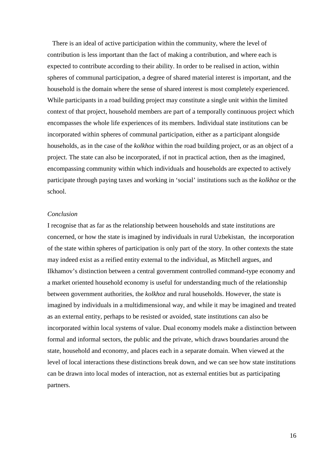There is an ideal of active participation within the community, where the level of contribution is less important than the fact of making a contribution, and where each is expected to contribute according to their ability. In order to be realised in action, within spheres of communal participation, a degree of shared material interest is important, and the household is the domain where the sense of shared interest is most completely experienced. While participants in a road building project may constitute a single unit within the limited context of that project, household members are part of a temporally continuous project which encompasses the whole life experiences of its members. Individual state institutions can be incorporated within spheres of communal participation, either as a participant alongside households, as in the case of the *kolkhoz* within the road building project, or as an object of a project. The state can also be incorporated, if not in practical action, then as the imagined, encompassing community within which individuals and households are expected to actively participate through paying taxes and working in 'social' institutions such as the *kolkhoz* or the school.

## *Conclusion*

I recognise that as far as the relationship between households and state institutions are concerned, or how the state is imagined by individuals in rural Uzbekistan, the incorporation of the state within spheres of participation is only part of the story. In other contexts the state may indeed exist as a reified entity external to the individual, as Mitchell argues, and Ilkhamov's distinction between a central government controlled command-type economy and a market oriented household economy is useful for understanding much of the relationship between government authorities, the *kolkhoz* and rural households. However, the state is imagined by individuals in a multidimensional way, and while it may be imagined and treated as an external entity, perhaps to be resisted or avoided, state institutions can also be incorporated within local systems of value. Dual economy models make a distinction between formal and informal sectors, the public and the private, which draws boundaries around the state, household and economy, and places each in a separate domain. When viewed at the level of local interactions these distinctions break down, and we can see how state institutions can be drawn into local modes of interaction, not as external entities but as participating partners.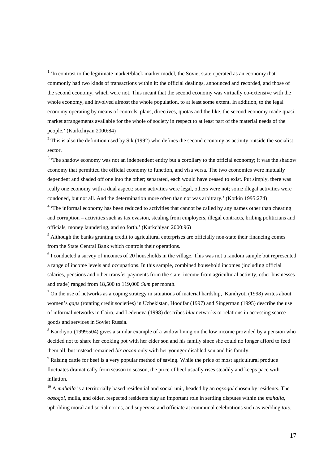$\overline{a}$ 

 $2^2$  This is also the definition used by Sik (1992) who defines the second economy as activity outside the socialist sector.

 $3$  'The shadow economy was not an independent entity but a corollary to the official economy; it was the shadow economy that permitted the official economy to function, and visa versa. The two economies were mutually dependent and shaded off one into the other; separated, each would have ceased to exist. Put simply, there was really one economy with a dual aspect: some activities were legal, others were not; some illegal activities were condoned, but not all. And the determination more often than not was arbitrary.' (Kotkin 1995:274)

<sup>4</sup> 'The informal economy has been reduced to activities that cannot be called by any names other than cheating and corruption – activities such as tax evasion, stealing from employers, illegal contracts, bribing politicians and officials, money laundering, and so forth.' (Kurkchiyan 2000:96)

<sup>5</sup> Although the banks granting credit to agricultural enterprises are officially non-state their financing comes from the State Central Bank which controls their operations.

 $6$  I conducted a survey of incomes of 20 households in the village. This was not a random sample but represented a range of income levels and occupations. In this sample, combined household incomes (including official salaries, pensions and other transfer payments from the state, income from agricultural activity, other businesses and trade) ranged from 18,500 to 119,000 *Sum* per month.

 $<sup>7</sup>$  On the use of networks as a coping strategy in situations of material hardship, Kandiyoti (1998) writes about</sup> women's *gaps* (rotating credit societies) in Uzbekistan, Hoodfar (1997) and Singerman (1995) describe the use of informal networks in Cairo, and Ledeneva (1998) describes *blat* networks or relations in accessing scarce goods and services in Soviet Russia.

<sup>8</sup> Kandiyoti (1999:504) gives a similar example of a widow living on the low income provided by a pension who decided not to share her cooking pot with her elder son and his family since she could no longer afford to feed them all, but instead remained *bir qozon* only with her younger disabled son and his family.

<sup>9</sup> Raising cattle for beef is a very popular method of saving. While the price of most agricultural produce fluctuates dramatically from season to season, the price of beef usually rises steadily and keeps pace with inflation.

<sup>10</sup> A *mahalla* is a territorially based residential and social unit, headed by an *oqsoqol* chosen by residents. The *oqsoqol*, mulla, and older, respected residents play an important role in settling disputes within the *mahalla*, upholding moral and social norms, and supervise and officiate at communal celebrations such as wedding *tois*.

<sup>&</sup>lt;sup>1</sup> 'In contrast to the legitimate market/black market model, the Soviet state operated as an economy that commonly had two kinds of transactions within it: the official dealings, announced and recorded, and those of the second economy, which were not. This meant that the second economy was virtually co-extensive with the whole economy, and involved almost the whole population, to at least some extent. In addition, to the legal economy operating by means of controls, plans, directives, quotas and the like, the second economy made quasimarket arrangements available for the whole of society in respect to at least part of the material needs of the people.' (Kurkchiyan 2000:84)